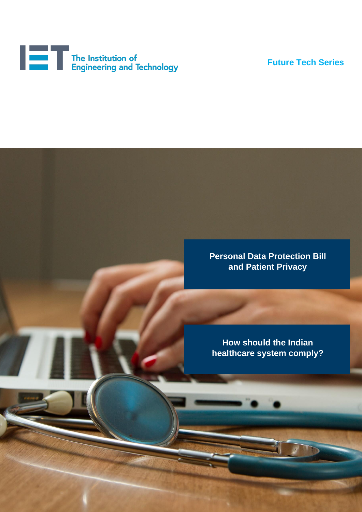

**Future Tech Series**

**Personal Data Protection Bill Personal Data Protection Bill and Patient Privacy and Patient Privacy**

**How should the Indian** *system comply?* **healthcare system comply?**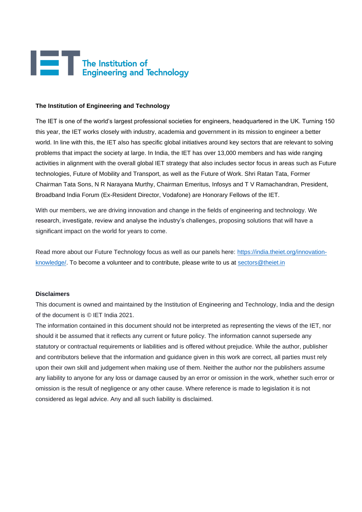

#### **The Institution of Engineering and Technology**

The IET is one of the world's largest professional societies for engineers, headquartered in the UK. Turning 150 this year, the IET works closely with industry, academia and government in its mission to engineer a better world. In line with this, the IET also has specific global initiatives around key sectors that are relevant to solving problems that impact the society at large. In India, the IET has over 13,000 members and has wide ranging activities in alignment with the overall global IET strategy that also includes sector focus in areas such as Future technologies, Future of Mobility and Transport, as well as the Future of Work. Shri Ratan Tata, Former Chairman Tata Sons, N R Narayana Murthy, Chairman Emeritus, Infosys and T V Ramachandran, President, Broadband India Forum (Ex-Resident Director, Vodafone) are Honorary Fellows of the IET.

With our members, we are driving innovation and change in the fields of engineering and technology. We research, investigate, review and analyse the industry's challenges, proposing solutions that will have a significant impact on the world for years to come.

Read more about our Future Technology focus as well as our panels here: [https://india.theiet.org/innovation](https://india.theiet.org/innovation-knowledge/)[knowledge/.](https://india.theiet.org/innovation-knowledge/) To become a volunteer and to contribute, please write to us at [sectors@theiet.in](mailto:sectors@theiet.in)

#### **Disclaimers**

This document is owned and maintained by the Institution of Engineering and Technology, India and the design of the document is © IET India 2021.

The information contained in this document should not be interpreted as representing the views of the IET, nor should it be assumed that it reflects any current or future policy. The information cannot supersede any statutory or contractual requirements or liabilities and is offered without prejudice. While the author, publisher and contributors believe that the information and guidance given in this work are correct, all parties must rely upon their own skill and judgement when making use of them. Neither the author nor the publishers assume any liability to anyone for any loss or damage caused by an error or omission in the work, whether such error or omission is the result of negligence or any other cause. Where reference is made to legislation it is not considered as legal advice. Any and all such liability is disclaimed.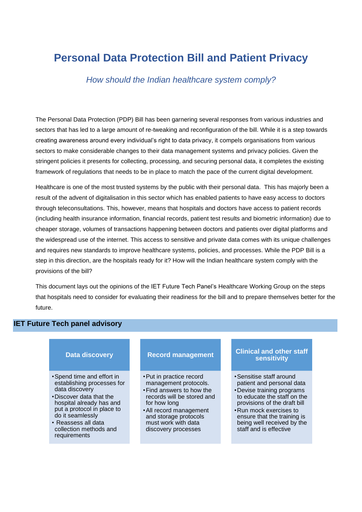# **Personal Data Protection Bill and Patient Privacy**

*How should the Indian healthcare system comply?*

The Personal Data Protection (PDP) Bill has been garnering several responses from various industries and The Personal Data Protection (PDP) Bill has been gamening several responses from vanous industries and<br>sectors that has led to a large amount of re-tweaking and reconfiguration of the bill. While it is a step towards creating awareness around every individual's right to data privacy, it compels organisations from various sectors to make considerable changes to their data management systems and privacy policies. Given the stringent policies it presents for collecting, processing, and securing personal data, it completes the existing framework of regulations that needs to be in place to match the pace of the current digital development.

Healthcare is one of the most trusted systems by the public with their personal data. This has majorly been a result of the advent of digitalisation in this sector which has enabled patients to have easy access to doctors through teleconsultations. This, however, means that hospitals and doctors have access to patient records (including health insurance information, financial records, patient test results and biometric information) due to cheaper storage, volumes of transactions happening between doctors and patients over digital platforms and the widespread use of the internet. This access to sensitive and private data comes with its unique challenges and requires new standards to improve healthcare systems, policies, and processes. While the PDP Bill is a step in this direction, are the hospitals ready for it? How will the Indian healthcare system comply with the provisions of the bill?

This document lays out the opinions of the IET Future Tech Panel's Healthcare Working Group on the steps that hospitals need to consider for evaluating their readiness for the bill and to prepare themselves better for the future.

### **IET Future Tech panel advisory**

#### **Data discovery**

- •Spend time and effort in establishing processes for data discovery
- •Discover data that the hospital already has and put a protocol in place to do it seamlessly
- Reassess all data collection methods and requirements

## **Record management**

- •Put in practice record management protocols.
- •Find answers to how the records will be stored and for how long
- •All record management and storage protocols must work with data discovery processes

#### **Clinical and other staff sensitivity**

- •Sensitise staff around patient and personal data
- •Devise training programs to educate the staff on the provisions of the draft bill
- •Run mock exercises to ensure that the training is being well received by the staff and is effective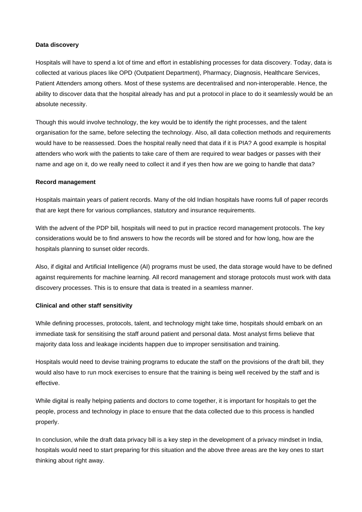#### **Data discovery**

Hospitals will have to spend a lot of time and effort in establishing processes for data discovery. Today, data is collected at various places like OPD (Outpatient Department), Pharmacy, Diagnosis, Healthcare Services, Patient Attenders among others. Most of these systems are decentralised and non-interoperable. Hence, the ability to discover data that the hospital already has and put a protocol in place to do it seamlessly would be an absolute necessity.

Though this would involve technology, the key would be to identify the right processes, and the talent organisation for the same, before selecting the technology. Also, all data collection methods and requirements would have to be reassessed. Does the hospital really need that data if it is PIA? A good example is hospital attenders who work with the patients to take care of them are required to wear badges or passes with their name and age on it, do we really need to collect it and if yes then how are we going to handle that data?

#### **Record management**

Hospitals maintain years of patient records. Many of the old Indian hospitals have rooms full of paper records that are kept there for various compliances, statutory and insurance requirements.

With the advent of the PDP bill, hospitals will need to put in practice record management protocols. The key considerations would be to find answers to how the records will be stored and for how long, how are the hospitals planning to sunset older records.

Also, if digital and Artificial Intelligence (AI) programs must be used, the data storage would have to be defined against requirements for machine learning. All record management and storage protocols must work with data discovery processes. This is to ensure that data is treated in a seamless manner.

#### **Clinical and other staff sensitivity**

While defining processes, protocols, talent, and technology might take time, hospitals should embark on an immediate task for sensitising the staff around patient and personal data. Most analyst firms believe that majority data loss and leakage incidents happen due to improper sensitisation and training.

Hospitals would need to devise training programs to educate the staff on the provisions of the draft bill, they would also have to run mock exercises to ensure that the training is being well received by the staff and is effective.

While digital is really helping patients and doctors to come together, it is important for hospitals to get the people, process and technology in place to ensure that the data collected due to this process is handled properly.

In conclusion, while the draft data privacy bill is a key step in the development of a privacy mindset in India, hospitals would need to start preparing for this situation and the above three areas are the key ones to start thinking about right away.